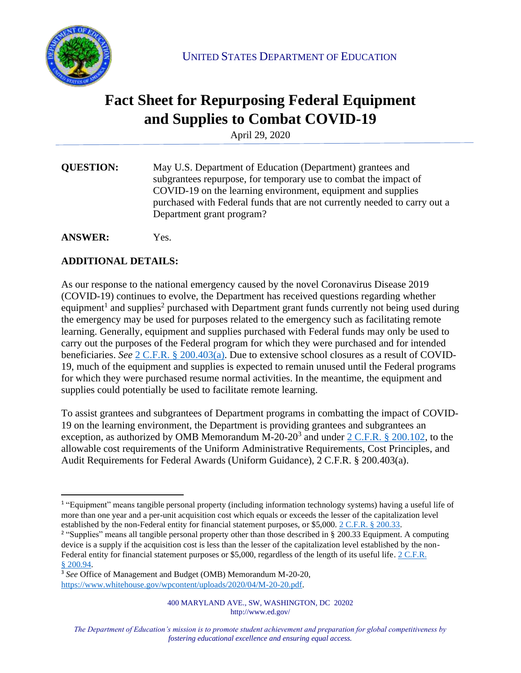

## **Fact Sheet for Repurposing Federal Equipment and Supplies to Combat COVID-19**

April 29, 2020

**QUESTION:** May U.S. Department of Education (Department) grantees and subgrantees repurpose, for temporary use to combat the impact of COVID-19 on the learning environment, equipment and supplies purchased with Federal funds that are not currently needed to carry out a Department grant program?

## **ANSWER:** Yes.

## **ADDITIONAL DETAILS:**

As our response to the national emergency caused by the novel Coronavirus Disease 2019 (COVID-19) continues to evolve, the Department has received questions regarding whether equipment<sup>1</sup> and supplies<sup>2</sup> purchased with Department grant funds currently not being used during the emergency may be used for purposes related to the emergency such as facilitating remote learning. Generally, equipment and supplies purchased with Federal funds may only be used to carry out the purposes of the Federal program for which they were purchased and for intended beneficiaries. *See* 2 C.F.R. § [200.403\(a\).](https://www.ecfr.gov/cgi-bin/text-idx?SID=5515581fdf279bbe7a59fb93c99f79d2&mc=true&node=se2.1.200_1403&rgn=div8) Due to extensive school closures as a result of COVID-19, much of the equipment and supplies is expected to remain unused until the Federal programs for which they were purchased resume normal activities. In the meantime, the equipment and supplies could potentially be used to facilitate remote learning.

To assist grantees and subgrantees of Department programs in combatting the impact of COVID-19 on the learning environment, the Department is providing grantees and subgrantees an exception, as authorized by OMB Memorandum M-20-20<sup>3</sup> and under  $2 \text{ C.F.R. }$  § 200.102, to the allowable cost requirements of the Uniform Administrative Requirements, Cost Principles, and Audit Requirements for Federal Awards (Uniform Guidance), 2 C.F.R. § 200.403(a).

<sup>1</sup> "Equipment" means tangible personal property (including information technology systems) having a useful life of more than one year and a per-unit acquisition cost which equals or exceeds the lesser of the capitalization level established by the non-Federal entity for financial statement purposes, or \$5,000[. 2 C.F.R. § 200.33.](https://www.ecfr.gov/cgi-bin/text-idx?SID=5515581fdf279bbe7a59fb93c99f79d2&mc=true&node=se2.1.200_133&rgn=div8)

<sup>&</sup>lt;sup>2</sup> "Supplies" means all tangible personal property other than those described in § 200.33 Equipment. A computing device is a supply if the acquisition cost is less than the lesser of the capitalization level established by the non-Federal entity for financial statement purposes or \$5,000, regardless of the length of its useful life[. 2 C.F.R.](https://www.ecfr.gov/cgi-bin/text-idx?SID=5515581fdf279bbe7a59fb93c99f79d2&mc=true&node=se2.1.200_194&rgn=div8)  § [200.94.](https://www.ecfr.gov/cgi-bin/text-idx?SID=5515581fdf279bbe7a59fb93c99f79d2&mc=true&node=se2.1.200_194&rgn=div8)

<sup>3</sup> *See* Office of Management and Budget (OMB) Memorandum M-20-20, [https://www.whitehouse.gov/wpcontent/uploads/2020/04/M-20-20.pdf.](https://www.whitehouse.gov/wpcontent/uploads/2020/04/M-20-20.pdf)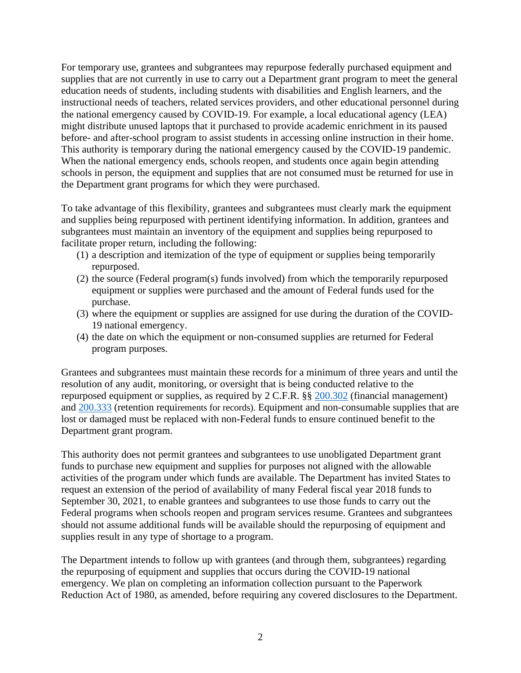For temporary use, grantees and subgrantees may repurpose federally purchased equipment and supplies that are not currently in use to carry out a Department grant program to meet the general education needs of students, including students with disabilities and English learners, and the instructional needs of teachers, related services providers, and other educational personnel during the national emergency caused by COVID-19. For example, a local educational agency (LEA) might distribute unused laptops that it purchased to provide academic enrichment in its paused before- and after-school program to assist students in accessing online instruction in their home. This authority is temporary during the national emergency caused by the COVID-19 pandemic. When the national emergency ends, schools reopen, and students once again begin attending schools in person, the equipment and supplies that are not consumed must be returned for use in the Department grant programs for which they were purchased.

To take advantage of this flexibility, grantees and subgrantees must clearly mark the equipment and supplies being repurposed with pertinent identifying information. In addition, grantees and subgrantees must maintain an inventory of the equipment and supplies being repurposed to facilitate proper return, including the following:

- (1) a description and itemization of the type of equipment or supplies being temporarily repurposed.
- (2) the source (Federal program(s) funds involved) from which the temporarily repurposed equipment or supplies were purchased and the amount of Federal funds used for the purchase.
- (3) where the equipment or supplies are assigned for use during the duration of the COVID-19 national emergency.
- (4) the date on which the equipment or non-consumed supplies are returned for Federal program purposes.

Grantees and subgrantees must maintain these records for a minimum of three years and until the resolution of any audit, monitoring, or oversight that is being conducted relative to the repurposed equipment or supplies, as required by 2 C.F.R. §§ [200.302](https://www.ecfr.gov/cgi-bin/text-idx?SID=aeb4304b3482541ba73d0a74c4be330e&mc=true&node=pt2.1.200&rgn=div5#se2.1.200_1302) (financial management) and [200.333](https://www.ecfr.gov/cgi-bin/text-idx?SID=aeb4304b3482541ba73d0a74c4be330e&mc=true&node=pt2.1.200&rgn=div5#se2.1.200_1333) (retention requirements for records). Equipment and non-consumable supplies that are lost or damaged must be replaced with non-Federal funds to ensure continued benefit to the Department grant program.

This authority does not permit grantees and subgrantees to use unobligated Department grant funds to purchase new equipment and supplies for purposes not aligned with the allowable activities of the program under which funds are available. The Department has invited States to request an extension of the period of availability of many Federal fiscal year 2018 funds to September 30, 2021, to enable grantees and subgrantees to use those funds to carry out the Federal programs when schools reopen and program services resume. Grantees and subgrantees should not assume additional funds will be available should the repurposing of equipment and supplies result in any type of shortage to a program.

The Department intends to follow up with grantees (and through them, subgrantees) regarding the repurposing of equipment and supplies that occurs during the COVID-19 national emergency. We plan on completing an information collection pursuant to the Paperwork Reduction Act of 1980, as amended, before requiring any covered disclosures to the Department.